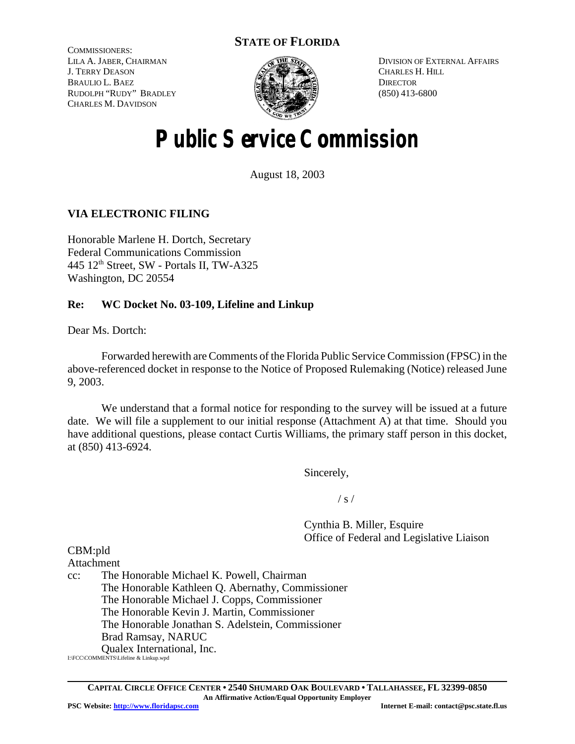# **STATE OF FLORIDA**

COMMISSIONERS: LILA A. JABER, CHAIRMAN J. TERRY DEASON BRAULIO L. BAEZ RUDOLPH "RUDY" BRADLEY CHARLES M. DAVIDSON



DIVISION OF EXTERNAL AFFAIRS CHARLES H. HILL **DIRECTOR** (850) 413-6800

# **Public Service Commission**

August 18, 2003

# **VIA ELECTRONIC FILING**

Honorable Marlene H. Dortch, Secretary Federal Communications Commission  $445$  12<sup>th</sup> Street, SW - Portals II, TW-A325 Washington, DC 20554

# **Re: WC Docket No. 03-109, Lifeline and Linkup**

Dear Ms. Dortch:

Forwarded herewith areComments of the Florida Public Service Commission (FPSC) in the above-referenced docket in response to the Notice of Proposed Rulemaking (Notice) released June 9, 2003.

We understand that a formal notice for responding to the survey will be issued at a future date. We will file a supplement to our initial response (Attachment A) at that time. Should you have additional questions, please contact Curtis Williams, the primary staff person in this docket, at (850) 413-6924.

Sincerely,

 $/ s /$ 

Cynthia B. Miller, Esquire Office of Federal and Legislative Liaison

CBM:pld Attachment

cc: The Honorable Michael K. Powell, Chairman The Honorable Kathleen Q. Abernathy, Commissioner The Honorable Michael J. Copps, Commissioner The Honorable Kevin J. Martin, Commissioner The Honorable Jonathan S. Adelstein, Commissioner Brad Ramsay, NARUC Qualex International, Inc.

I:\FCC\COMMENTS\Lifeline & Linkup.wpd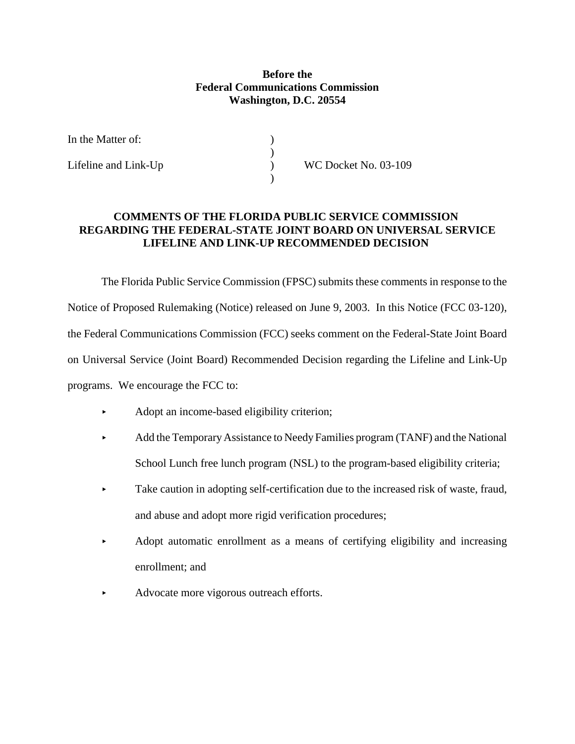# **Before the Federal Communications Commission Washington, D.C. 20554**

 $\left(\begin{array}{c} 1 \\ 0 \end{array}\right)$ 

)

| In the Matter of: |  |
|-------------------|--|
|-------------------|--|

Lifeline and Link-Up ) WC Docket No. 03-109

# **COMMENTS OF THE FLORIDA PUBLIC SERVICE COMMISSION REGARDING THE FEDERAL-STATE JOINT BOARD ON UNIVERSAL SERVICE LIFELINE AND LINK-UP RECOMMENDED DECISION**

The Florida Public Service Commission (FPSC) submits these comments in response to the Notice of Proposed Rulemaking (Notice) released on June 9, 2003. In this Notice (FCC 03-120), the Federal Communications Commission (FCC) seeks comment on the Federal-State Joint Board on Universal Service (Joint Board) Recommended Decision regarding the Lifeline and Link-Up programs. We encourage the FCC to:

- < Adopt an income-based eligibility criterion;
- Add the Temporary Assistance to Needy Families program (TANF) and the National School Lunch free lunch program (NSL) to the program-based eligibility criteria;
- Take caution in adopting self-certification due to the increased risk of waste, fraud, and abuse and adopt more rigid verification procedures;
- $\blacktriangleright$  Adopt automatic enrollment as a means of certifying eligibility and increasing enrollment; and
- < Advocate more vigorous outreach efforts.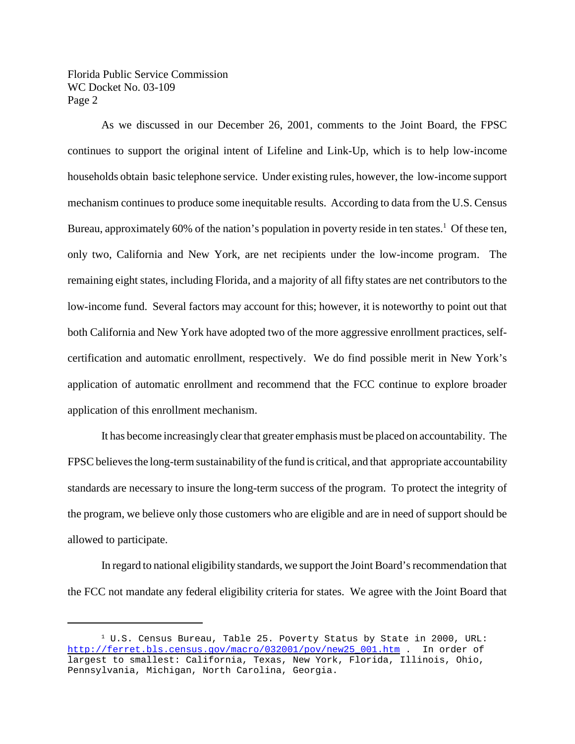As we discussed in our December 26, 2001, comments to the Joint Board, the FPSC continues to support the original intent of Lifeline and Link-Up, which is to help low-income households obtain basic telephone service. Under existing rules, however, the low-income support mechanism continues to produce some inequitable results. According to data from the U.S. Census Bureau, approximately 60% of the nation's population in poverty reside in ten states.<sup>1</sup> Of these ten, only two, California and New York, are net recipients under the low-income program. The remaining eight states, including Florida, and a majority of all fifty states are net contributors to the low-income fund. Several factors may account for this; however, it is noteworthy to point out that both California and New York have adopted two of the more aggressive enrollment practices, selfcertification and automatic enrollment, respectively. We do find possible merit in New York's application of automatic enrollment and recommend that the FCC continue to explore broader application of this enrollment mechanism.

It has become increasingly clear that greater emphasis must be placed on accountability. The FPSC believes the long-term sustainability of the fund is critical, and that appropriate accountability standards are necessary to insure the long-term success of the program. To protect the integrity of the program, we believe only those customers who are eligible and are in need of support should be allowed to participate.

In regard to national eligibility standards, we support the Joint Board's recommendation that the FCC not mandate any federal eligibility criteria for states. We agree with the Joint Board that

 $1$  U.S. Census Bureau, Table 25. Poverty Status by State in 2000, URL: http://ferret.bls.census.gov/macro/032001/pov/new25\_001.htm . In order of largest to smallest: California, Texas, New York, Florida, Illinois, Ohio, Pennsylvania, Michigan, North Carolina, Georgia.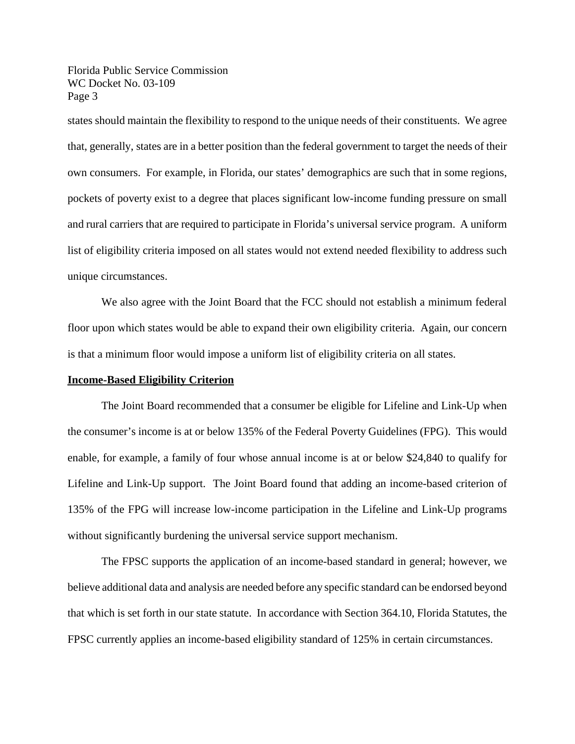states should maintain the flexibility to respond to the unique needs of their constituents. We agree that, generally, states are in a better position than the federal government to target the needs of their own consumers. For example, in Florida, our states' demographics are such that in some regions, pockets of poverty exist to a degree that places significant low-income funding pressure on small and rural carriers that are required to participate in Florida's universal service program. A uniform list of eligibility criteria imposed on all states would not extend needed flexibility to address such unique circumstances.

We also agree with the Joint Board that the FCC should not establish a minimum federal floor upon which states would be able to expand their own eligibility criteria. Again, our concern is that a minimum floor would impose a uniform list of eligibility criteria on all states.

#### **Income-Based Eligibility Criterion**

The Joint Board recommended that a consumer be eligible for Lifeline and Link-Up when the consumer's income is at or below 135% of the Federal Poverty Guidelines (FPG). This would enable, for example, a family of four whose annual income is at or below \$24,840 to qualify for Lifeline and Link-Up support. The Joint Board found that adding an income-based criterion of 135% of the FPG will increase low-income participation in the Lifeline and Link-Up programs without significantly burdening the universal service support mechanism.

The FPSC supports the application of an income-based standard in general; however, we believe additional data and analysis are needed before any specific standard can be endorsed beyond that which is set forth in our state statute. In accordance with Section 364.10, Florida Statutes, the FPSC currently applies an income-based eligibility standard of 125% in certain circumstances.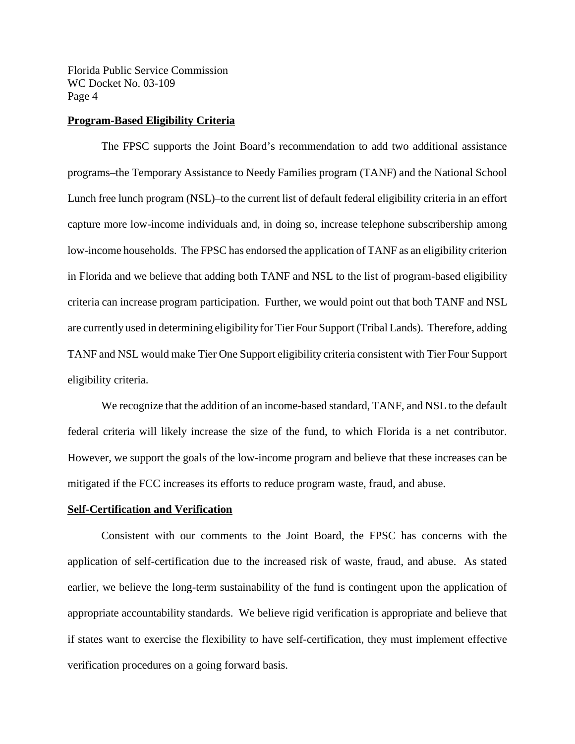#### **Program-Based Eligibility Criteria**

The FPSC supports the Joint Board's recommendation to add two additional assistance programs–the Temporary Assistance to Needy Families program (TANF) and the National School Lunch free lunch program (NSL)–to the current list of default federal eligibility criteria in an effort capture more low-income individuals and, in doing so, increase telephone subscribership among low-income households. The FPSC has endorsed the application of TANF as an eligibility criterion in Florida and we believe that adding both TANF and NSL to the list of program-based eligibility criteria can increase program participation. Further, we would point out that both TANF and NSL are currently used in determining eligibility for Tier Four Support (Tribal Lands). Therefore, adding TANF and NSL would make Tier One Support eligibility criteria consistent with Tier Four Support eligibility criteria.

We recognize that the addition of an income-based standard, TANF, and NSL to the default federal criteria will likely increase the size of the fund, to which Florida is a net contributor. However, we support the goals of the low-income program and believe that these increases can be mitigated if the FCC increases its efforts to reduce program waste, fraud, and abuse.

#### **Self-Certification and Verification**

Consistent with our comments to the Joint Board, the FPSC has concerns with the application of self-certification due to the increased risk of waste, fraud, and abuse. As stated earlier, we believe the long-term sustainability of the fund is contingent upon the application of appropriate accountability standards. We believe rigid verification is appropriate and believe that if states want to exercise the flexibility to have self-certification, they must implement effective verification procedures on a going forward basis.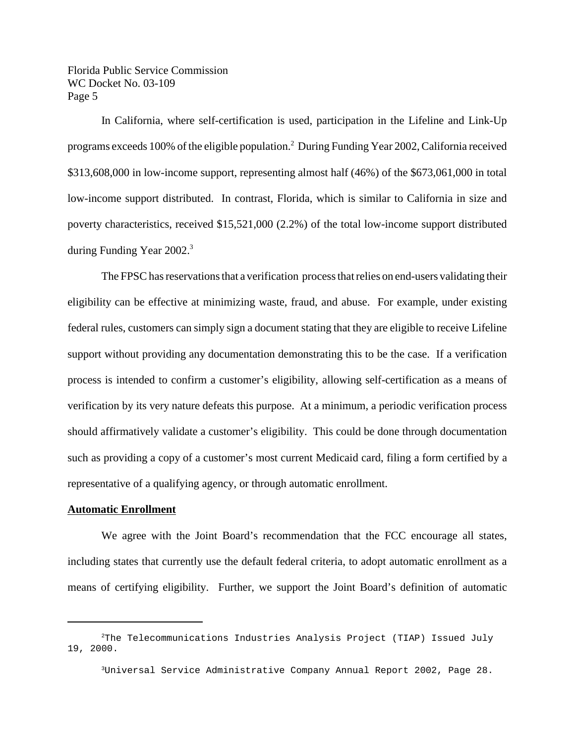In California, where self-certification is used, participation in the Lifeline and Link-Up programs exceeds 100% of the eligible population.<sup>2</sup> During Funding Year 2002, California received \$313,608,000 in low-income support, representing almost half (46%) of the \$673,061,000 in total low-income support distributed. In contrast, Florida, which is similar to California in size and poverty characteristics, received \$15,521,000 (2.2%) of the total low-income support distributed during Funding Year 2002.<sup>3</sup>

The FPSC has reservations that a verification process that relies on end-users validating their eligibility can be effective at minimizing waste, fraud, and abuse. For example, under existing federal rules, customers can simply sign a document stating that they are eligible to receive Lifeline support without providing any documentation demonstrating this to be the case. If a verification process is intended to confirm a customer's eligibility, allowing self-certification as a means of verification by its very nature defeats this purpose. At a minimum, a periodic verification process should affirmatively validate a customer's eligibility. This could be done through documentation such as providing a copy of a customer's most current Medicaid card, filing a form certified by a representative of a qualifying agency, or through automatic enrollment.

#### **Automatic Enrollment**

We agree with the Joint Board's recommendation that the FCC encourage all states, including states that currently use the default federal criteria, to adopt automatic enrollment as a means of certifying eligibility. Further, we support the Joint Board's definition of automatic

<sup>2</sup>The Telecommunications Industries Analysis Project (TIAP) Issued July 19, 2000.

<sup>3</sup>Universal Service Administrative Company Annual Report 2002, Page 28.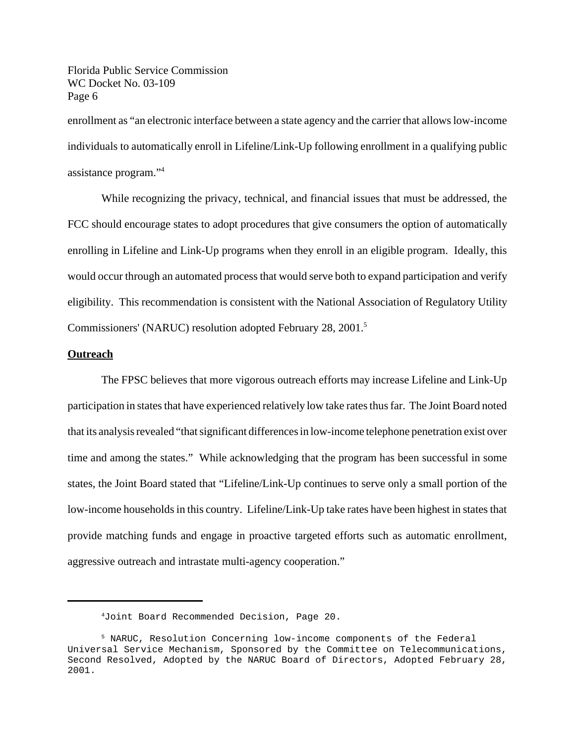enrollment as "an electronic interface between a state agency and the carrier that allows low-income individuals to automatically enroll in Lifeline/Link-Up following enrollment in a qualifying public assistance program."<sup>4</sup>

While recognizing the privacy, technical, and financial issues that must be addressed, the FCC should encourage states to adopt procedures that give consumers the option of automatically enrolling in Lifeline and Link-Up programs when they enroll in an eligible program. Ideally, this would occur through an automated process that would serve both to expand participation and verify eligibility. This recommendation is consistent with the National Association of Regulatory Utility Commissioners' (NARUC) resolution adopted February 28, 2001.<sup>5</sup>

#### **Outreach**

The FPSC believes that more vigorous outreach efforts may increase Lifeline and Link-Up participation in states that have experienced relatively low take rates thus far. The Joint Board noted that its analysis revealed "that significant differences in low-income telephone penetration exist over time and among the states." While acknowledging that the program has been successful in some states, the Joint Board stated that "Lifeline/Link-Up continues to serve only a small portion of the low-income households in this country. Lifeline/Link-Up take rates have been highest in states that provide matching funds and engage in proactive targeted efforts such as automatic enrollment, aggressive outreach and intrastate multi-agency cooperation."

<sup>4</sup>Joint Board Recommended Decision, Page 20.

<sup>5</sup> NARUC, Resolution Concerning low-income components of the Federal Universal Service Mechanism, Sponsored by the Committee on Telecommunications, Second Resolved, Adopted by the NARUC Board of Directors, Adopted February 28, 2001.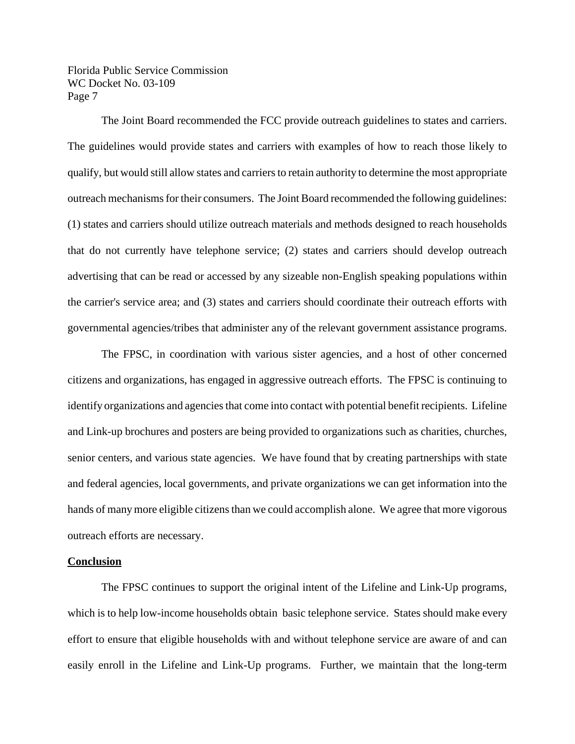The Joint Board recommended the FCC provide outreach guidelines to states and carriers. The guidelines would provide states and carriers with examples of how to reach those likely to qualify, but would still allow states and carriersto retain authority to determine the most appropriate outreach mechanismsfor their consumers. The Joint Board recommended the following guidelines: (1) states and carriers should utilize outreach materials and methods designed to reach households that do not currently have telephone service; (2) states and carriers should develop outreach advertising that can be read or accessed by any sizeable non-English speaking populations within the carrier's service area; and (3) states and carriers should coordinate their outreach efforts with governmental agencies/tribes that administer any of the relevant government assistance programs.

The FPSC, in coordination with various sister agencies, and a host of other concerned citizens and organizations, has engaged in aggressive outreach efforts. The FPSC is continuing to identify organizations and agencies that come into contact with potential benefit recipients. Lifeline and Link-up brochures and posters are being provided to organizations such as charities, churches, senior centers, and various state agencies. We have found that by creating partnerships with state and federal agencies, local governments, and private organizations we can get information into the hands of many more eligible citizens than we could accomplish alone. We agree that more vigorous outreach efforts are necessary.

#### **Conclusion**

The FPSC continues to support the original intent of the Lifeline and Link-Up programs, which is to help low-income households obtain basic telephone service. States should make every effort to ensure that eligible households with and without telephone service are aware of and can easily enroll in the Lifeline and Link-Up programs. Further, we maintain that the long-term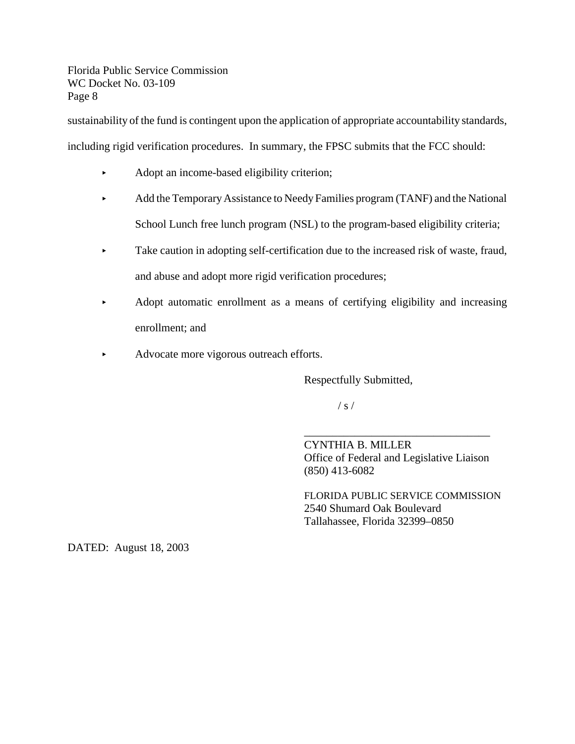sustainability of the fund is contingent upon the application of appropriate accountability standards,

including rigid verification procedures. In summary, the FPSC submits that the FCC should:

- Adopt an income-based eligibility criterion;
- Add the Temporary Assistance to Needy Families program (TANF) and the National School Lunch free lunch program (NSL) to the program-based eligibility criteria;
- $\blacktriangleright$  Take caution in adopting self-certification due to the increased risk of waste, fraud, and abuse and adopt more rigid verification procedures;
- Adopt automatic enrollment as a means of certifying eligibility and increasing enrollment; and
- Advocate more vigorous outreach efforts.

Respectfully Submitted,

 $/ s /$ 

CYNTHIA B. MILLER Office of Federal and Legislative Liaison (850) 413-6082

\_\_\_\_\_\_\_\_\_\_\_\_\_\_\_\_\_\_\_\_\_\_\_\_\_\_\_\_\_\_\_\_\_

FLORIDA PUBLIC SERVICE COMMISSION 2540 Shumard Oak Boulevard Tallahassee, Florida 32399–0850

DATED: August 18, 2003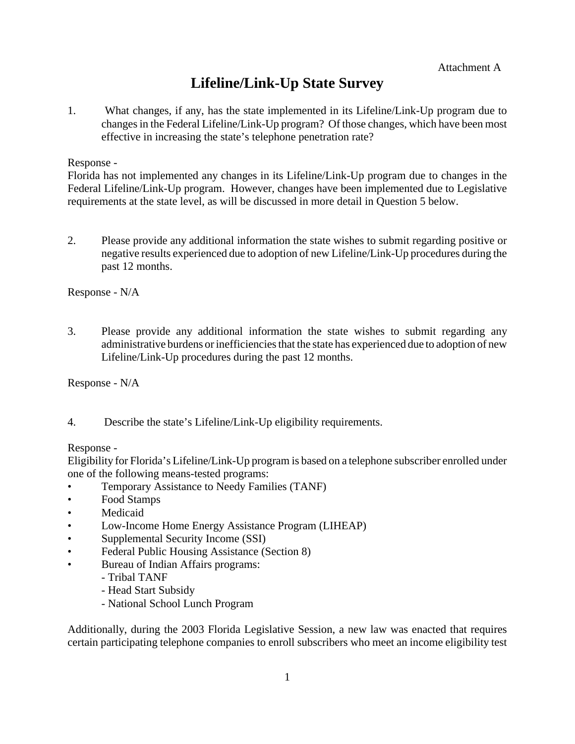# **Lifeline/Link-Up State Survey**

1. What changes, if any, has the state implemented in its Lifeline/Link-Up program due to changes in the Federal Lifeline/Link-Up program? Of those changes, which have been most effective in increasing the state's telephone penetration rate?

Response -

Florida has not implemented any changes in its Lifeline/Link-Up program due to changes in the Federal Lifeline/Link-Up program. However, changes have been implemented due to Legislative requirements at the state level, as will be discussed in more detail in Question 5 below.

2. Please provide any additional information the state wishes to submit regarding positive or negative results experienced due to adoption of new Lifeline/Link-Up procedures during the past 12 months.

Response - N/A

3. Please provide any additional information the state wishes to submit regarding any administrative burdens orinefficienciesthat the state has experienced due to adoption of new Lifeline/Link-Up procedures during the past 12 months.

Response - N/A

4. Describe the state's Lifeline/Link-Up eligibility requirements.

Response -

Eligibility for Florida's Lifeline/Link-Up program is based on a telephone subscriber enrolled under one of the following means-tested programs:

- Temporary Assistance to Needy Families (TANF)
- Food Stamps
- Medicaid
- Low-Income Home Energy Assistance Program (LIHEAP)
- Supplemental Security Income (SSI)
- Federal Public Housing Assistance (Section 8)
- Bureau of Indian Affairs programs:
	- Tribal TANF
	- Head Start Subsidy
	- National School Lunch Program

Additionally, during the 2003 Florida Legislative Session, a new law was enacted that requires certain participating telephone companies to enroll subscribers who meet an income eligibility test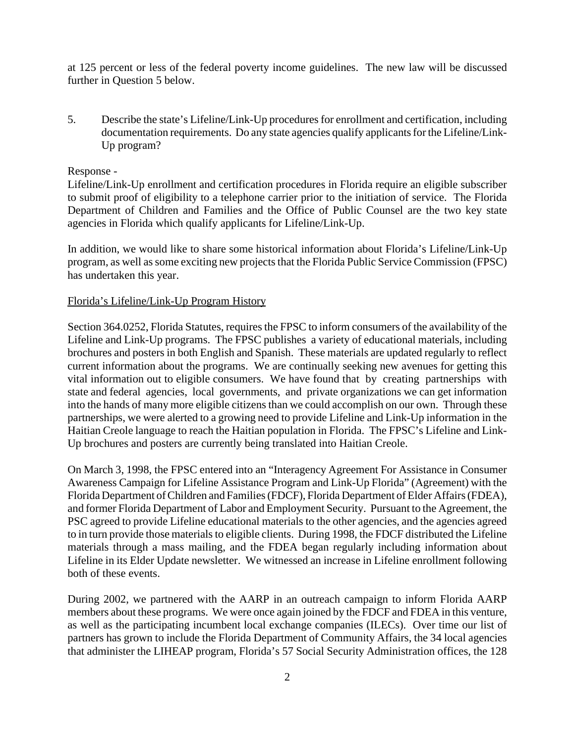at 125 percent or less of the federal poverty income guidelines. The new law will be discussed further in Question 5 below.

5. Describe the state's Lifeline/Link-Up proceduresfor enrollment and certification, including documentation requirements. Do any state agencies qualify applicants for the Lifeline/Link-Up program?

# Response -

Lifeline/Link-Up enrollment and certification procedures in Florida require an eligible subscriber to submit proof of eligibility to a telephone carrier prior to the initiation of service. The Florida Department of Children and Families and the Office of Public Counsel are the two key state agencies in Florida which qualify applicants for Lifeline/Link-Up.

In addition, we would like to share some historical information about Florida's Lifeline/Link-Up program, as well as some exciting new projects that the Florida Public Service Commission (FPSC) has undertaken this year.

### Florida's Lifeline/Link-Up Program History

Section 364.0252, Florida Statutes, requires the FPSC to inform consumers of the availability of the Lifeline and Link-Up programs. The FPSC publishes a variety of educational materials, including brochures and posters in both English and Spanish. These materials are updated regularly to reflect current information about the programs. We are continually seeking new avenues for getting this vital information out to eligible consumers. We have found that by creating partnerships with state and federal agencies, local governments, and private organizations we can get information into the hands of many more eligible citizens than we could accomplish on our own. Through these partnerships, we were alerted to a growing need to provide Lifeline and Link-Up information in the Haitian Creole language to reach the Haitian population in Florida. The FPSC's Lifeline and Link-Up brochures and posters are currently being translated into Haitian Creole.

On March 3, 1998, the FPSC entered into an "Interagency Agreement For Assistance in Consumer Awareness Campaign for Lifeline Assistance Program and Link-Up Florida" (Agreement) with the Florida Department ofChildren and Families(FDCF), Florida Department of Elder Affairs(FDEA), and former Florida Department of Labor and Employment Security. Pursuant to the Agreement, the PSC agreed to provide Lifeline educational materials to the other agencies, and the agencies agreed to in turn provide those materials to eligible clients. During 1998, the FDCF distributed the Lifeline materials through a mass mailing, and the FDEA began regularly including information about Lifeline in its Elder Update newsletter. We witnessed an increase in Lifeline enrollment following both of these events.

During 2002, we partnered with the AARP in an outreach campaign to inform Florida AARP members about these programs. We were once again joined by the FDCF and FDEA in this venture, as well as the participating incumbent local exchange companies (ILECs). Over time our list of partners has grown to include the Florida Department of Community Affairs, the 34 local agencies that administer the LIHEAP program, Florida's 57 Social Security Administration offices, the 128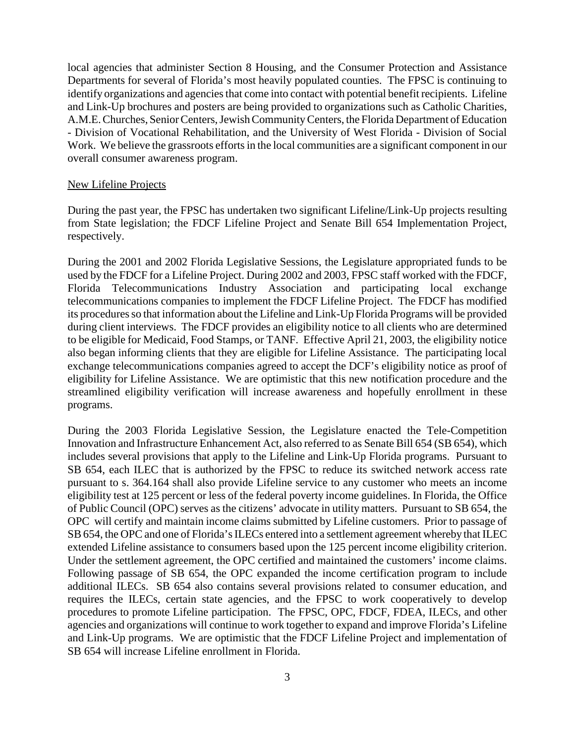local agencies that administer Section 8 Housing, and the Consumer Protection and Assistance Departments for several of Florida's most heavily populated counties. The FPSC is continuing to identify organizations and agencies that come into contact with potential benefit recipients. Lifeline and Link-Up brochures and posters are being provided to organizations such as Catholic Charities, A.M.E. Churches, Senior Centers, Jewish Community Centers, the Florida Department of Education - Division of Vocational Rehabilitation, and the University of West Florida - Division of Social Work. We believe the grassroots efforts in the local communities are a significant component in our overall consumer awareness program.

#### New Lifeline Projects

During the past year, the FPSC has undertaken two significant Lifeline/Link-Up projects resulting from State legislation; the FDCF Lifeline Project and Senate Bill 654 Implementation Project, respectively.

During the 2001 and 2002 Florida Legislative Sessions, the Legislature appropriated funds to be used by the FDCF for a Lifeline Project. During 2002 and 2003, FPSC staff worked with the FDCF, Florida Telecommunications Industry Association and participating local exchange telecommunications companies to implement the FDCF Lifeline Project. The FDCF has modified its procedures so that information about the Lifeline and Link-Up Florida Programs will be provided during client interviews. The FDCF provides an eligibility notice to all clients who are determined to be eligible for Medicaid, Food Stamps, or TANF. Effective April 21, 2003, the eligibility notice also began informing clients that they are eligible for Lifeline Assistance. The participating local exchange telecommunications companies agreed to accept the DCF's eligibility notice as proof of eligibility for Lifeline Assistance. We are optimistic that this new notification procedure and the streamlined eligibility verification will increase awareness and hopefully enrollment in these programs.

During the 2003 Florida Legislative Session, the Legislature enacted the Tele-Competition Innovation and Infrastructure Enhancement Act, also referred to as Senate Bill 654 (SB 654), which includes several provisions that apply to the Lifeline and Link-Up Florida programs. Pursuant to SB 654, each ILEC that is authorized by the FPSC to reduce its switched network access rate pursuant to s. 364.164 shall also provide Lifeline service to any customer who meets an income eligibility test at 125 percent or less of the federal poverty income guidelines. In Florida, the Office of Public Council (OPC) serves as the citizens' advocate in utility matters. Pursuant to SB 654, the OPC will certify and maintain income claims submitted by Lifeline customers. Prior to passage of SB 654, the OPC and one of Florida's ILECs entered into a settlement agreement whereby that ILEC extended Lifeline assistance to consumers based upon the 125 percent income eligibility criterion. Under the settlement agreement, the OPC certified and maintained the customers' income claims. Following passage of SB 654, the OPC expanded the income certification program to include additional ILECs. SB 654 also contains several provisions related to consumer education, and requires the ILECs, certain state agencies, and the FPSC to work cooperatively to develop procedures to promote Lifeline participation. The FPSC, OPC, FDCF, FDEA, ILECs, and other agencies and organizations will continue to work together to expand and improve Florida's Lifeline and Link-Up programs. We are optimistic that the FDCF Lifeline Project and implementation of SB 654 will increase Lifeline enrollment in Florida.